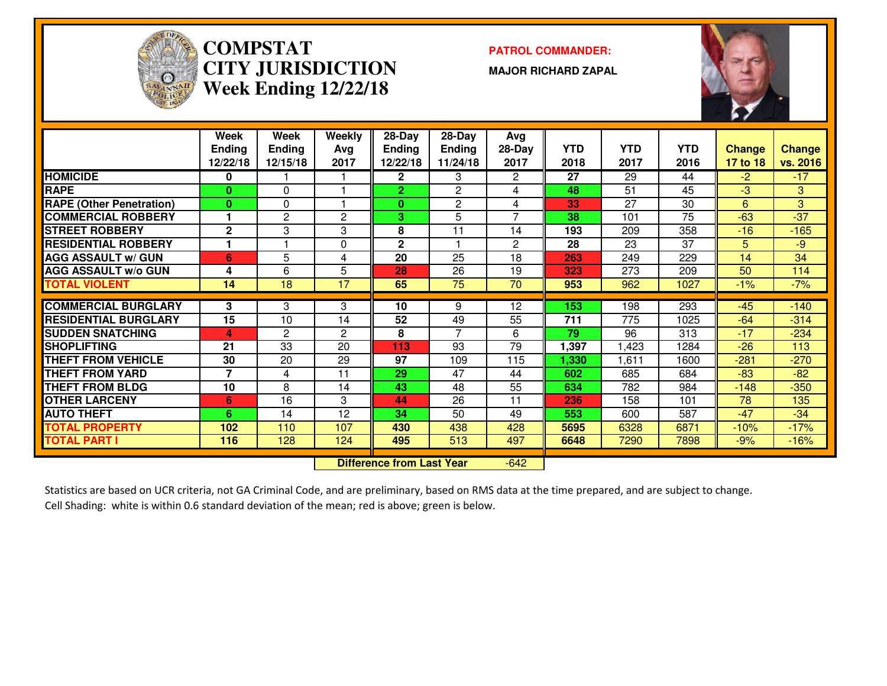

#### **COMPSTATPATROL COMMANDER:**<br>CINICTION **CITY JURISDICTIONWeek Ending 12/22/18**

**MAJOR RICHARD ZAPAL**



|                                 | Week           | Week           | Weekly         | 28-Day                           | $28$ -Day               | Avg            |            |            |      |               |          |
|---------------------------------|----------------|----------------|----------------|----------------------------------|-------------------------|----------------|------------|------------|------|---------------|----------|
|                                 | <b>Ending</b>  | <b>Ending</b>  | Avg            | Ending                           | <b>Ending</b>           | 28-Day         | <b>YTD</b> | <b>YTD</b> | YTD  | <b>Change</b> | Change   |
|                                 | 12/22/18       | 12/15/18       | 2017           | 12/22/18                         | 11/24/18                | 2017           | 2018       | 2017       | 2016 | 17 to 18      | vs. 2016 |
| <b>HOMICIDE</b>                 | 0              |                |                | 2.                               | 3                       | 2              | 27         | 29         | 44   | $-2$          | $-17$    |
| <b>RAPE</b>                     | 0              | $\Omega$       |                | $\overline{2}$                   | $\overline{2}$          | 4              | 48         | 51         | 45   | $-3$          | 3        |
| <b>RAPE (Other Penetration)</b> | 0              | $\Omega$       |                | $\bf{0}$                         | $\overline{2}$          | 4              | 33         | 27         | 30   | 6             | 3        |
| <b>COMMERCIAL ROBBERY</b>       |                | $\overline{c}$ | 2              | 3                                | 5                       | 7              | 38         | 101        | 75   | $-63$         | $-37$    |
| <b>STREET ROBBERY</b>           | $\mathbf{2}$   | 3              | 3              | 8                                | 11                      | 14             | 193        | 209        | 358  | $-16$         | $-165$   |
| <b>RESIDENTIAL ROBBERY</b>      |                |                | $\Omega$       | $\mathbf{2}$                     | $\overline{\mathbf{1}}$ | $\overline{2}$ | 28         | 23         | 37   | 5             | $-9$     |
| <b>AGG ASSAULT w/ GUN</b>       | 6              | 5              | 4              | 20                               | 25                      | 18             | 263        | 249        | 229  | 14            | 34       |
| <b>AGG ASSAULT w/o GUN</b>      | 4              | 6              | 5              | 28                               | 26                      | 19             | 323        | 273        | 209  | 50            | 114      |
| <b>TOTAL VIOLENT</b>            | 14             | 18             | 17             | 65                               | 75                      | 70             | 953        | 962        | 1027 | $-1%$         | $-7%$    |
|                                 |                |                |                |                                  |                         |                |            |            |      |               |          |
| <b>COMMERCIAL BURGLARY</b>      | 3              | 3              | 3              | 10                               | 9                       | 12             | 153        | 198        | 293  | $-45$         | $-140$   |
| <b>RESIDENTIAL BURGLARY</b>     | 15             | 10             | 14             | 52                               | 49                      | 55             | 711        | 775        | 1025 | $-64$         | $-314$   |
| <b>SUDDEN SNATCHING</b>         | 4              | $\overline{c}$ | $\overline{2}$ | 8                                | $\overline{7}$          | 6              | 79         | 96         | 313  | $-17$         | $-234$   |
| <b>SHOPLIFTING</b>              | 21             | 33             | 20             | 113                              | 93                      | 79             | 1,397      | ,423       | 1284 | $-26$         | 113      |
| <b>THEFT FROM VEHICLE</b>       | 30             | 20             | 29             | 97                               | 109                     | 115            | 1,330      | 611,       | 1600 | $-281$        | $-270$   |
| <b>THEFT FROM YARD</b>          | $\overline{7}$ | 4              | 11             | 29                               | 47                      | 44             | 602        | 685        | 684  | $-83$         | $-82$    |
| <b>THEFT FROM BLDG</b>          | 10             | 8              | 14             | 43                               | 48                      | 55             | 634        | 782        | 984  | $-148$        | $-350$   |
| <b>OTHER LARCENY</b>            | 6              | 16             | 3              | 44                               | 26                      | 11             | 236        | 158        | 101  | 78            | 135      |
| <b>AUTO THEFT</b>               | 6              | 14             | 12             | 34                               | 50                      | 49             | 553        | 600        | 587  | $-47$         | $-34$    |
| <b>TOTAL PROPERTY</b>           | 102            | 110            | 107            | 430                              | 438                     | 428            | 5695       | 6328       | 6871 | $-10%$        | $-17%$   |
| <b>TOTAL PART I</b>             | 116            | 128            | 124            | 495                              | 513                     | 497            | 6648       | 7290       | 7898 | $-9%$         | $-16%$   |
|                                 |                |                |                |                                  |                         |                |            |            |      |               |          |
|                                 |                |                |                | <b>Difference from Last Year</b> |                         | $-642$         |            |            |      |               |          |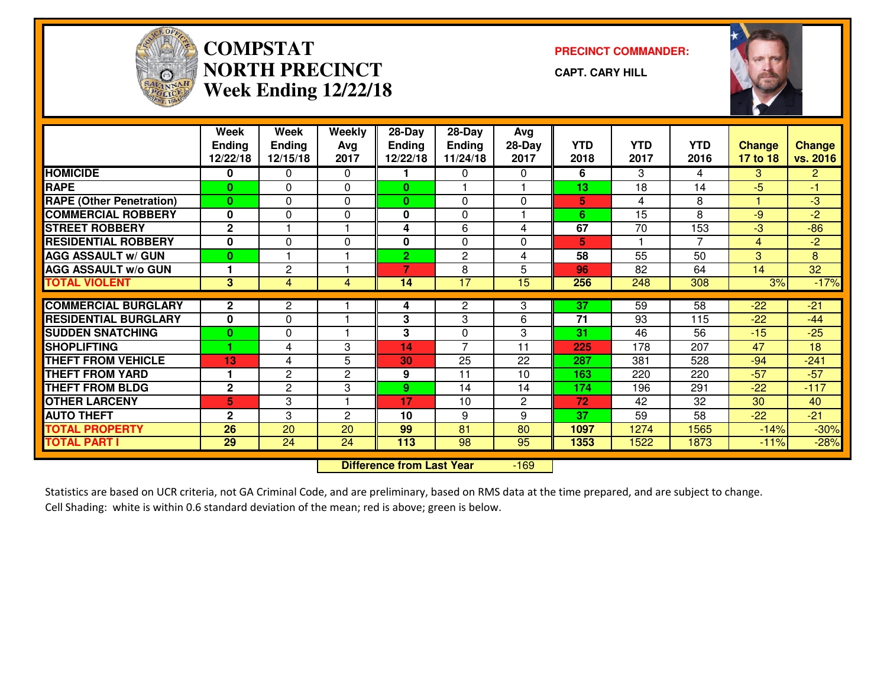

## **COMPSTATNORTH PRECINCTWeek Ending 12/22/18**

**PRECINCT COMMANDER:**

**CAPT. CARY HILL**



|                                 | Week<br><b>Ending</b><br>12/22/18 | Week<br><b>Ending</b><br>12/15/18 | Weekly<br>Avg<br>2017 | 28-Day<br><b>Ending</b><br>12/22/18 | $28$ -Day<br><b>Ending</b><br>11/24/18 | Avg<br>28-Day<br>2017 | <b>YTD</b><br>2018 | <b>YTD</b><br>2017 | <b>YTD</b><br>2016 | <b>Change</b><br>17 to 18 | <b>Change</b><br>vs. 2016 |
|---------------------------------|-----------------------------------|-----------------------------------|-----------------------|-------------------------------------|----------------------------------------|-----------------------|--------------------|--------------------|--------------------|---------------------------|---------------------------|
| <b>HOMICIDE</b>                 | 0                                 | 0                                 | 0                     |                                     | $\Omega$                               | 0                     | 6                  | 3                  | 4                  | 3                         | $\overline{2}$            |
| <b>RAPE</b>                     | $\bf{0}$                          | $\Omega$                          | $\Omega$              | $\mathbf{0}$                        |                                        |                       | 13                 | 18                 | 14                 | $-5$                      | $-1$                      |
| <b>RAPE (Other Penetration)</b> | $\bf{0}$                          | $\Omega$                          | $\Omega$              | $\mathbf{0}$                        | $\mathbf{0}$                           | 0                     | 5                  | 4                  | 8                  |                           | $-3$                      |
| <b>COMMERCIAL ROBBERY</b>       | $\mathbf{0}$                      | 0                                 | 0                     | 0                                   | 0                                      |                       | 6                  | 15                 | 8                  | $-9$                      | $-2$                      |
| <b>STREET ROBBERY</b>           | $\mathbf{2}$                      |                                   |                       | 4                                   | 6                                      | 4                     | 67                 | 70                 | 153                | $-3$                      | $-86$                     |
| <b>RESIDENTIAL ROBBERY</b>      | $\mathbf{0}$                      | $\Omega$                          | $\Omega$              | 0                                   | $\Omega$                               | 0                     | 5                  |                    | $\overline{7}$     | 4                         | $-2$                      |
| <b>AGG ASSAULT w/ GUN</b>       | $\bf{0}$                          |                                   |                       | $\overline{2}$                      | $\overline{2}$                         | 4                     | 58                 | 55                 | 50                 | 3                         | 8                         |
| <b>AGG ASSAULT W/o GUN</b>      |                                   | $\overline{c}$                    |                       | $\overline{7}$                      | 8                                      | 5                     | 96                 | 82                 | 64                 | 14                        | 32                        |
| <b>TOTAL VIOLENT</b>            | 3                                 | $\overline{4}$                    | 4                     | 14                                  | $\overline{17}$                        | $\overline{15}$       | 256                | 248                | 308                | 3%                        | $-17%$                    |
| <b>COMMERCIAL BURGLARY</b>      | $\mathbf{2}$                      | $\overline{2}$                    |                       | 4                                   | $\mathbf{2}$                           | 3                     | 37                 | 59                 | 58                 | $-22$                     | $-21$                     |
| <b>RESIDENTIAL BURGLARY</b>     | $\bf{0}$                          | $\Omega$                          |                       | 3                                   | 3                                      | 6                     | 71                 | 93                 | 115                | $-22$                     | $-44$                     |
| <b>SUDDEN SNATCHING</b>         | $\bf{0}$                          | 0                                 |                       | 3                                   | 0                                      | 3                     | 31                 | 46                 | 56                 | $-15$                     | $-25$                     |
| <b>SHOPLIFTING</b>              |                                   | 4                                 | 3                     | 14                                  | $\overline{7}$                         | 11                    | 225                | 178                | 207                | 47                        | 18                        |
| <b>THEFT FROM VEHICLE</b>       | 13                                | 4                                 | 5                     | 30                                  | 25                                     | 22                    | 287                | 381                | 528                | $-94$                     | $-241$                    |
| <b>THEFT FROM YARD</b>          |                                   | $\mathbf{2}$                      | $\overline{2}$        | 9                                   | 11                                     | 10                    | 163                | 220                | 220                | $-57$                     | $-57$                     |
| <b>THEFT FROM BLDG</b>          | $\mathbf{2}$                      | $\overline{2}$                    | 3                     | 9                                   | 14                                     | 14                    | 174                | 196                | 291                | $-22$                     | $-117$                    |
| <b>OTHER LARCENY</b>            | 5                                 | 3                                 |                       | 17                                  | 10                                     | 2                     | 72                 | 42                 | 32                 | 30                        | 40                        |
| <b>AUTO THEFT</b>               | $\mathbf{2}$                      | 3                                 | $\overline{2}$        | 10                                  | 9                                      | 9                     | 37                 | 59                 | 58                 | $-22$                     | $-21$                     |
| <b>TOTAL PROPERTY</b>           | $\overline{26}$                   | $\overline{20}$                   | 20                    | 99                                  | $\overline{81}$                        | 80                    | 1097               | 1274               | 1565               | $-14%$                    | $-30%$                    |
| <b>TOTAL PART I</b>             | 29                                | 24                                | 24                    | 113                                 | 98                                     | 95                    | 1353               | 1522               | 1873               | $-11%$                    | $-28%$                    |
|                                 |                                   | <b>Difference from Last Year</b>  |                       | $-169$                              |                                        |                       |                    |                    |                    |                           |                           |

 **Difference from Last Year**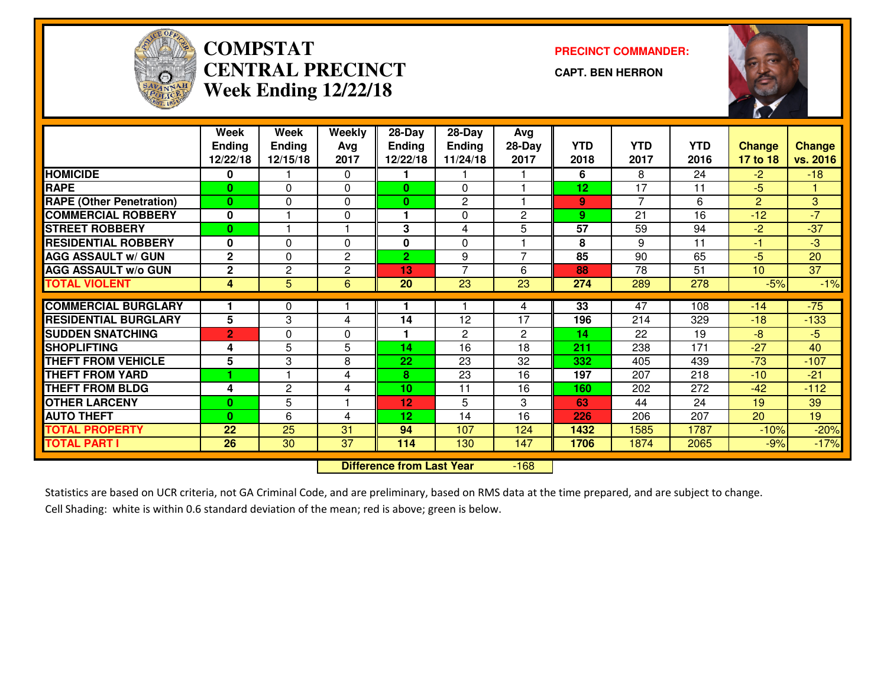

### **COMPSTATCENTRAL PRECINCTWeek Ending 12/22/18**

**PRECINCT COMMANDER:**

**CAPT. BEN HERRON**



|                                 | Week<br><b>Ending</b><br>12/22/18 | Week<br><b>Ending</b><br>12/15/18 | <b>Weekly</b><br>Avg<br>2017 | 28-Day<br><b>Ending</b><br>12/22/18 | $28-Day$<br>Ending<br>11/24/18 | Avg<br>28-Day<br>2017 | <b>YTD</b><br>2018 | <b>YTD</b><br>2017 | <b>YTD</b><br>2016 | <b>Change</b><br>17 to 18 | <b>Change</b><br>vs. 2016 |
|---------------------------------|-----------------------------------|-----------------------------------|------------------------------|-------------------------------------|--------------------------------|-----------------------|--------------------|--------------------|--------------------|---------------------------|---------------------------|
| <b>HOMICIDE</b>                 | $\mathbf{0}$                      |                                   | 0                            |                                     |                                |                       | 6                  | 8                  | 24                 | $-2$                      | $-18$                     |
| <b>RAPE</b>                     | $\bf{0}$                          | 0                                 | $\Omega$                     | $\mathbf{0}$                        | 0                              |                       | 12                 | 17                 | 11                 | $-5$                      |                           |
| <b>RAPE (Other Penetration)</b> | $\bf{0}$                          | 0                                 | $\Omega$                     | $\mathbf{0}$                        | 2                              |                       | 9                  | $\overline{7}$     | 6                  | $\overline{2}$            | 3                         |
| <b>COMMERCIAL ROBBERY</b>       | $\mathbf 0$                       |                                   | 0                            | 1.                                  | $\Omega$                       | 2                     | 9                  | 21                 | 16                 | $-12$                     | $-7$                      |
| <b>STREET ROBBERY</b>           | $\bf{0}$                          |                                   |                              | 3                                   | 4                              | 5                     | 57                 | 59                 | 94                 | $-2$                      | $-37$                     |
| <b>RESIDENTIAL ROBBERY</b>      | 0                                 | $\Omega$                          | $\Omega$                     | $\bf{0}$                            | $\Omega$                       |                       | 8                  | 9                  | 11                 | $\blacksquare$            | $-3$                      |
| <b>AGG ASSAULT w/ GUN</b>       | $\mathbf{2}$                      | $\Omega$                          | $\mathbf{2}$                 | $\overline{2}$                      | 9                              | 7                     | 85                 | 90                 | 65                 | $-5$                      | 20                        |
| <b>AGG ASSAULT w/o GUN</b>      | $\mathbf 2$                       | $\overline{2}$                    | $\overline{c}$               | 13                                  | $\overline{7}$                 | 6                     | 88                 | $\overline{78}$    | $\overline{51}$    | 10                        | $\overline{37}$           |
| <b>TOTAL VIOLENT</b>            | 4                                 | 5                                 | 6                            | 20                                  | $\overline{23}$                | $\overline{23}$       | 274                | 289                | 278                | $-5%$                     | $-1%$                     |
| <b>COMMERCIAL BURGLARY</b>      |                                   | 0                                 |                              |                                     |                                | 4                     | 33                 | 47                 | 108                | $-14$                     | $-75$                     |
| <b>RESIDENTIAL BURGLARY</b>     | 5                                 | 3                                 | 4                            | 14                                  | 12                             | 17                    | 196                | 214                | 329                | $-18$                     | $-133$                    |
| <b>SUDDEN SNATCHING</b>         | $\overline{2}$                    | $\Omega$                          | 0                            | 1.                                  | 2                              | $\overline{2}$        | 14                 | 22                 | 19                 | -8                        | $-5$                      |
| <b>SHOPLIFTING</b>              | 4                                 | 5                                 | 5                            | 14                                  | 16                             | 18                    | 211                | 238                | 171                | $-27$                     | 40                        |
| <b>THEFT FROM VEHICLE</b>       | 5                                 | 3                                 | 8                            | 22                                  | 23                             | 32                    | 332                | 405                | 439                | $-73$                     | $-107$                    |
| <b>THEFT FROM YARD</b>          |                                   |                                   | 4                            | 8                                   | 23                             | 16                    | 197                | 207                | 218                | $-10$                     | $-21$                     |
| <b>THEFT FROM BLDG</b>          | 4                                 | $\mathbf{2}$                      | 4                            | 10                                  | 11                             | 16                    | 160                | 202                | 272                | $-42$                     | $-112$                    |
| <b>OTHER LARCENY</b>            | $\bf{0}$                          | 5                                 |                              | 12                                  | 5                              | 3                     | 63                 | 44                 | 24                 | 19                        | 39                        |
| <b>AUTO THEFT</b>               | $\bf{0}$                          | 6                                 | 4                            | 12                                  | 14                             | 16                    | 226                | 206                | 207                | 20                        | $\overline{19}$           |
| <b>TOTAL PROPERTY</b>           | 22                                | 25                                | 31                           | 94                                  | 107                            | 124                   | 1432               | 1585               | 1787               | $-10%$                    | $-20%$                    |
| <b>TOTAL PART I</b>             | 26                                | 30                                | 37                           | 114                                 | 130                            | 147                   | 1706               | 1874               | 2065               | $-9%$                     | $-17%$                    |
|                                 |                                   | <b>Difference from Last Year</b>  |                              | $-168$                              |                                |                       |                    |                    |                    |                           |                           |

 **Difference from Last Year**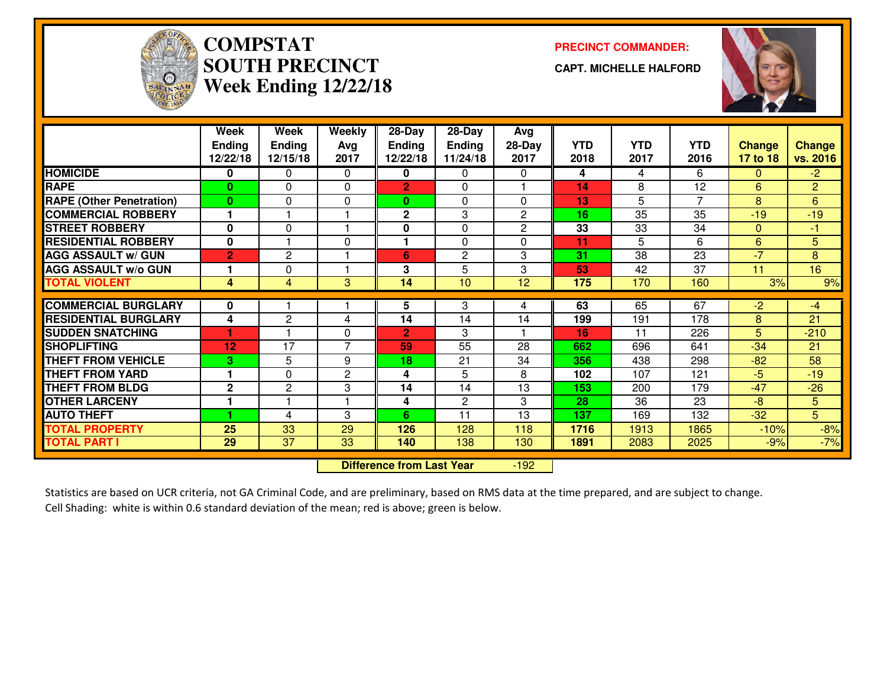

## **COMPSTATSOUTH PRECINCTWeek Ending 12/22/18**

**PRECINCT COMMANDER:**

**CAPT. MICHELLE HALFORD**



|                                 | Week<br><b>Ending</b><br>12/22/18 | Week<br><b>Ending</b><br>12/15/18 | Weekly<br>Avg<br>2017 | 28-Day<br><b>Ending</b><br>12/22/18 | 28-Day<br>Ending<br>11/24/18 | Avg<br>$28-Day$<br>2017 | <b>YTD</b><br>2018 | <b>YTD</b><br>2017 | <b>YTD</b><br>2016 | <b>Change</b><br>17 to 18 | <b>Change</b><br>vs. 2016 |
|---------------------------------|-----------------------------------|-----------------------------------|-----------------------|-------------------------------------|------------------------------|-------------------------|--------------------|--------------------|--------------------|---------------------------|---------------------------|
| <b>HOMICIDE</b>                 | 0                                 | 0                                 | $\mathbf{0}$          | 0                                   | $\Omega$                     | 0                       | 4                  | 4                  | 6                  | 0                         | $-2$                      |
| <b>RAPE</b>                     | 0                                 | 0                                 | $\Omega$              | $\overline{2}$                      | $\Omega$                     |                         | 14                 | 8                  | 12                 | 6                         | $\overline{2}$            |
| <b>RAPE</b> (Other Penetration) | $\bf{0}$                          | 0                                 | $\Omega$              | $\mathbf{0}$                        | $\Omega$                     | 0                       | 13                 | 5                  | $\overline{7}$     | 8                         | $6\phantom{a}$            |
| <b>COMMERCIAL ROBBERY</b>       |                                   |                                   |                       | $\mathbf 2$                         | 3                            | $\overline{2}$          | 16                 | 35                 | 35                 | $-19$                     | $-19$                     |
| <b>ISTREET ROBBERY</b>          | 0                                 | 0                                 |                       | 0                                   | $\mathbf{0}$                 | $\mathbf{2}$            | 33                 | 33                 | 34                 | $\Omega$                  | $-1$                      |
| <b>RESIDENTIAL ROBBERY</b>      | $\mathbf 0$                       |                                   | $\Omega$              | 1                                   | $\Omega$                     | 0                       | 11                 | 5                  | 6                  | 6                         | 5                         |
| <b>AGG ASSAULT w/ GUN</b>       | $\overline{2}$                    | $\overline{c}$                    |                       | 6                                   | $\overline{2}$               | 3                       | 31                 | 38                 | 23                 | $-7'$                     | 8                         |
| <b>AGG ASSAULT W/o GUN</b>      | 1                                 | 0                                 | 1                     | 3                                   | 5                            | 3                       | 53                 | 42                 | 37                 | 11                        | 16                        |
| <b>TOTAL VIOLENT</b>            | 4                                 | 4                                 | 3                     | 14                                  | 10                           | 12                      | 175                | 170                | 160                | 3%                        | 9%                        |
| <b>COMMERCIAL BURGLARY</b>      | 0                                 |                                   |                       | 5                                   | 3                            | 4                       | 63                 | 65                 | 67                 | $-2$                      | $-4$                      |
| <b>RESIDENTIAL BURGLARY</b>     | 4                                 | $\mathbf{2}$                      | 4                     | 14                                  | 14                           | 14                      | 199                | 191                | 178                | 8                         | 21                        |
| <b>SUDDEN SNATCHING</b>         | 1                                 |                                   | $\Omega$              | $\overline{2}$                      | 3                            |                         | 16                 | 11                 | 226                | 5                         | $-210$                    |
| <b>SHOPLIFTING</b>              | 12                                | 17                                | 7                     | 59                                  | 55                           | 28                      | 662                | 696                | 641                | $-34$                     | 21                        |
| <b>THEFT FROM VEHICLE</b>       | 3                                 | 5                                 | 9                     | 18                                  | 21                           | 34                      | 356                | 438                | 298                | $-82$                     | 58                        |
| <b>THEFT FROM YARD</b>          | 1                                 | 0                                 | $\mathbf{2}$          | 4                                   | 5                            | 8                       | 102                | 107                | 121                | $-5$                      | $-19$                     |
| <b>THEFT FROM BLDG</b>          | $\mathbf 2$                       | 2                                 | 3                     | 14                                  | 14                           | 13                      | 153                | 200                | 179                | $-47$                     | $-26$                     |
| <b>OTHER LARCENY</b>            |                                   |                                   |                       | 4                                   | $\overline{c}$               | 3                       | 28                 | 36                 | 23                 | $-8$                      | 5                         |
| <b>AUTO THEFT</b>               |                                   | 4                                 | 3                     | 6                                   | 11                           | 13                      | 137                | 169                | 132                | $-32$                     | $\overline{5}$            |
| <b>TOTAL PROPERTY</b>           | 25                                | 33                                | 29                    | 126                                 | 128                          | 118                     | 1716               | 1913               | 1865               | $-10%$                    | $-8%$                     |
| <b>TOTAL PART I</b>             | 29                                | 37                                | 33                    | 140                                 | 138                          | 130                     | 1891               | 2083               | 2025               | $-9%$                     | $-7%$                     |
|                                 |                                   | <b>Difference from Last Year</b>  |                       | $-192$                              |                              |                         |                    |                    |                    |                           |                           |

 **Difference from Last Year**